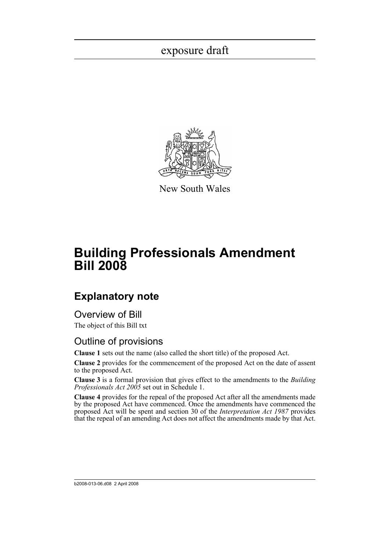

New South Wales

# **Building Professionals Amendment Bill 2008**

### **Explanatory note**

### Overview of Bill

The object of this Bill txt

### Outline of provisions

**Clause 1** sets out the name (also called the short title) of the proposed Act.

**Clause 2** provides for the commencement of the proposed Act on the date of assent to the proposed Act.

**Clause 3** is a formal provision that gives effect to the amendments to the *Building Professionals Act 2005* set out in Schedule 1.

**Clause 4** provides for the repeal of the proposed Act after all the amendments made by the proposed Act have commenced. Once the amendments have commenced the proposed Act will be spent and section 30 of the *Interpretation Act 1987* provides that the repeal of an amending Act does not affect the amendments made by that Act.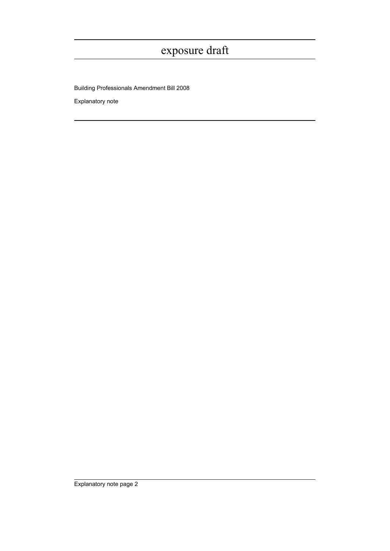Building Professionals Amendment Bill 2008

Explanatory note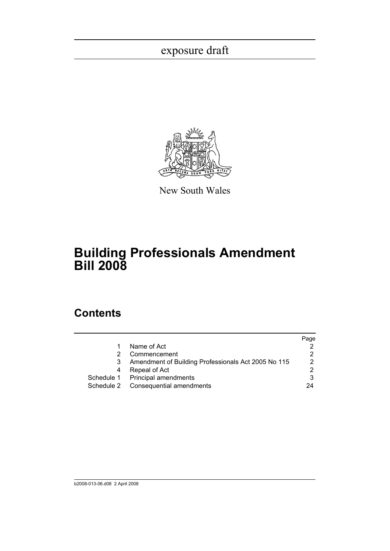

New South Wales

# **Building Professionals Amendment Bill 2008**

## **Contents**

|                                                     | Page                                                                   |
|-----------------------------------------------------|------------------------------------------------------------------------|
| Name of Act                                         |                                                                        |
| Commencement                                        |                                                                        |
| Amendment of Building Professionals Act 2005 No 115 | 2                                                                      |
| Repeal of Act                                       |                                                                        |
|                                                     | 3                                                                      |
|                                                     | 24                                                                     |
|                                                     | Schedule 1 Principal amendments<br>Schedule 2 Consequential amendments |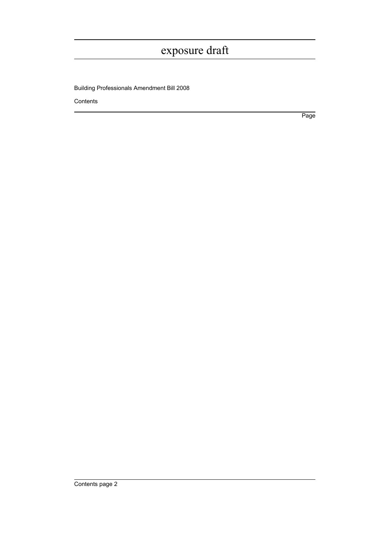Building Professionals Amendment Bill 2008

Contents

Page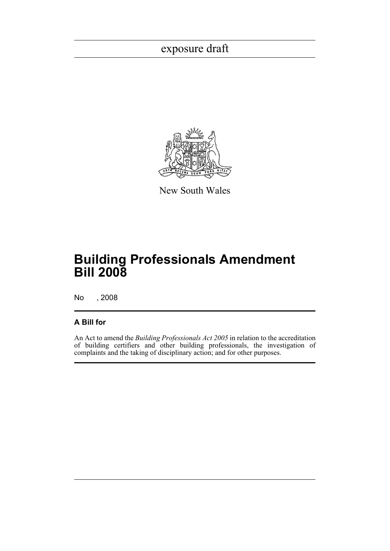

New South Wales

# **Building Professionals Amendment Bill 2008**

No , 2008

### **A Bill for**

An Act to amend the *Building Professionals Act 2005* in relation to the accreditation of building certifiers and other building professionals, the investigation of complaints and the taking of disciplinary action; and for other purposes.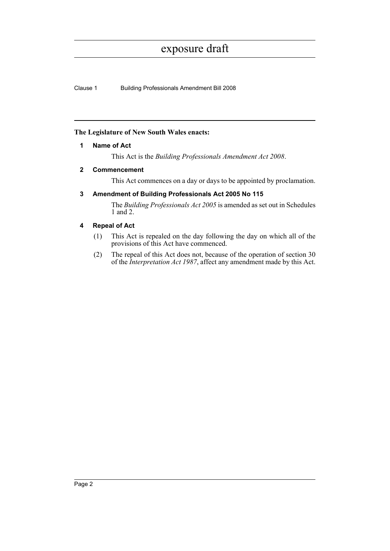Clause 1 Building Professionals Amendment Bill 2008

#### <span id="page-5-0"></span>**The Legislature of New South Wales enacts:**

#### **1 Name of Act**

This Act is the *Building Professionals Amendment Act 2008*.

#### <span id="page-5-1"></span>**2 Commencement**

This Act commences on a day or days to be appointed by proclamation.

#### <span id="page-5-2"></span>**3 Amendment of Building Professionals Act 2005 No 115**

The *Building Professionals Act 2005* is amended as set out in Schedules 1 and 2.

#### <span id="page-5-3"></span>**4 Repeal of Act**

- (1) This Act is repealed on the day following the day on which all of the provisions of this Act have commenced.
- (2) The repeal of this Act does not, because of the operation of section 30 of the *Interpretation Act 1987*, affect any amendment made by this Act.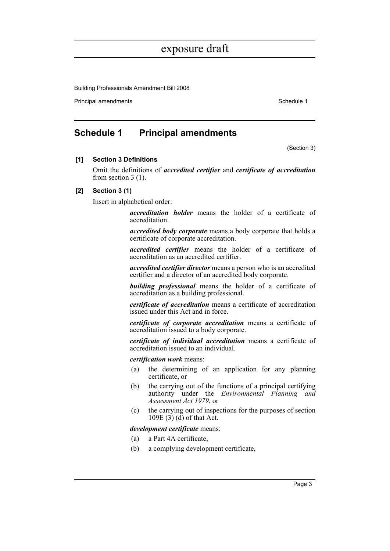Building Professionals Amendment Bill 2008

Principal amendments **Schedule 1** and the set of the set of the Schedule 1 and the Schedule 1

### <span id="page-6-0"></span>**Schedule 1 Principal amendments**

(Section 3)

#### **[1] Section 3 Definitions**

Omit the definitions of *accredited certifier* and *certificate of accreditation* from section 3 (1).

#### **[2] Section 3 (1)**

Insert in alphabetical order:

*accreditation holder* means the holder of a certificate of accreditation.

*accredited body corporate* means a body corporate that holds a certificate of corporate accreditation.

*accredited certifier* means the holder of a certificate of accreditation as an accredited certifier.

*accredited certifier director* means a person who is an accredited certifier and a director of an accredited body corporate.

*building professional* means the holder of a certificate of accreditation as a building professional.

*certificate of accreditation* means a certificate of accreditation issued under this Act and in force.

*certificate of corporate accreditation* means a certificate of accreditation issued to a body corporate.

*certificate of individual accreditation* means a certificate of accreditation issued to an individual.

*certification work* means:

- (a) the determining of an application for any planning certificate, or
- (b) the carrying out of the functions of a principal certifying authority under the *Environmental Planning and Assessment Act 1979*, or
- (c) the carrying out of inspections for the purposes of section 109E  $(3)$   $(d)$  of that Act.

*development certificate* means:

- (a) a Part 4A certificate,
- (b) a complying development certificate,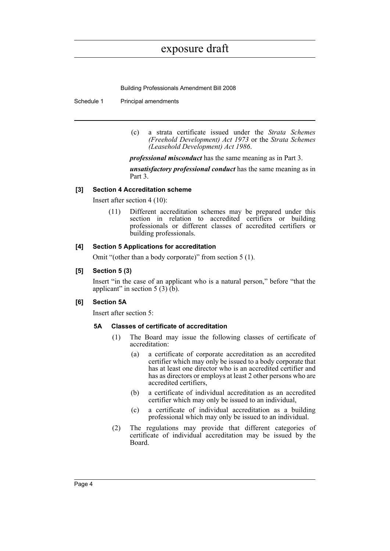Building Professionals Amendment Bill 2008

Schedule 1 Principal amendments

(c) a strata certificate issued under the *Strata Schemes (Freehold Development) Act 1973* or the *Strata Schemes (Leasehold Development) Act 1986*.

*professional misconduct* has the same meaning as in Part 3.

*unsatisfactory professional conduct* has the same meaning as in Part 3.

#### **[3] Section 4 Accreditation scheme**

Insert after section 4 (10):

(11) Different accreditation schemes may be prepared under this section in relation to accredited certifiers or building professionals or different classes of accredited certifiers or building professionals.

#### **[4] Section 5 Applications for accreditation**

Omit "(other than a body corporate)" from section 5 (1).

#### **[5] Section 5 (3)**

Insert "in the case of an applicant who is a natural person," before "that the applicant" in section 5 (3) $\overline{(b)}$ .

#### **[6] Section 5A**

Insert after section 5:

#### **5A Classes of certificate of accreditation**

- (1) The Board may issue the following classes of certificate of accreditation:
	- (a) a certificate of corporate accreditation as an accredited certifier which may only be issued to a body corporate that has at least one director who is an accredited certifier and has as directors or employs at least 2 other persons who are accredited certifiers,
	- (b) a certificate of individual accreditation as an accredited certifier which may only be issued to an individual,
	- (c) a certificate of individual accreditation as a building professional which may only be issued to an individual.
- (2) The regulations may provide that different categories of certificate of individual accreditation may be issued by the Board.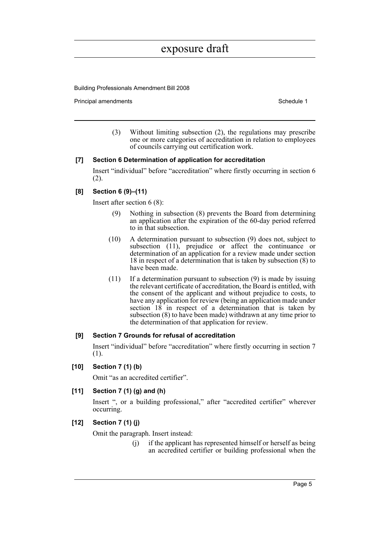Building Professionals Amendment Bill 2008

Principal amendments **Schedule 1** and the set of the set of the Schedule 1 and the Schedule 1

(3) Without limiting subsection (2), the regulations may prescribe one or more categories of accreditation in relation to employees of councils carrying out certification work.

#### **[7] Section 6 Determination of application for accreditation**

Insert "individual" before "accreditation" where firstly occurring in section 6 (2).

#### **[8] Section 6 (9)–(11)**

Insert after section 6 (8):

- (9) Nothing in subsection (8) prevents the Board from determining an application after the expiration of the 60-day period referred to in that subsection.
- (10) A determination pursuant to subsection (9) does not, subject to subsection  $(11)$ , prejudice or affect the continuance or determination of an application for a review made under section 18 in respect of a determination that is taken by subsection (8) to have been made.
- (11) If a determination pursuant to subsection (9) is made by issuing the relevant certificate of accreditation, the Board is entitled, with the consent of the applicant and without prejudice to costs, to have any application for review (being an application made under section 18 in respect of a determination that is taken by subsection (8) to have been made) withdrawn at any time prior to the determination of that application for review.

#### **[9] Section 7 Grounds for refusal of accreditation**

Insert "individual" before "accreditation" where firstly occurring in section 7 (1).

#### **[10] Section 7 (1) (b)**

Omit "as an accredited certifier".

#### **[11] Section 7 (1) (g) and (h)**

Insert ", or a building professional," after "accredited certifier" wherever occurring.

#### **[12] Section 7 (1) (j)**

Omit the paragraph. Insert instead:

(j) if the applicant has represented himself or herself as being an accredited certifier or building professional when the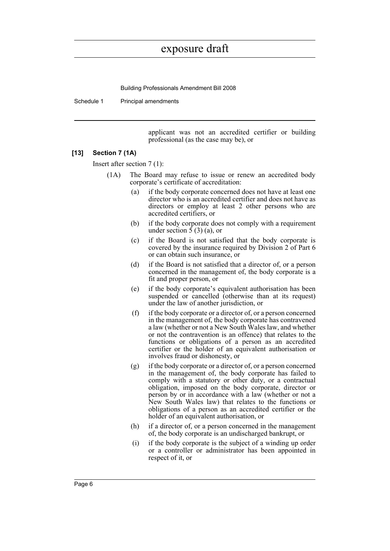Building Professionals Amendment Bill 2008

Schedule 1 Principal amendments

applicant was not an accredited certifier or building professional (as the case may be), or

#### **[13] Section 7 (1A)**

Insert after section 7 (1):

- (1A) The Board may refuse to issue or renew an accredited body corporate's certificate of accreditation:
	- (a) if the body corporate concerned does not have at least one director who is an accredited certifier and does not have as directors or employ at least 2 other persons who are accredited certifiers, or
	- (b) if the body corporate does not comply with a requirement under section  $5(3)(a)$ , or
	- (c) if the Board is not satisfied that the body corporate is covered by the insurance required by Division 2 of Part 6 or can obtain such insurance, or
	- (d) if the Board is not satisfied that a director of, or a person concerned in the management of, the body corporate is a fit and proper person, or
	- (e) if the body corporate's equivalent authorisation has been suspended or cancelled (otherwise than at its request) under the law of another jurisdiction, or
	- (f) if the body corporate or a director of, or a person concerned in the management of, the body corporate has contravened a law (whether or not a New South Wales law, and whether or not the contravention is an offence) that relates to the functions or obligations of a person as an accredited certifier or the holder of an equivalent authorisation or involves fraud or dishonesty, or
	- (g) if the body corporate or a director of, or a person concerned in the management of, the body corporate has failed to comply with a statutory or other duty, or a contractual obligation, imposed on the body corporate, director or person by or in accordance with a law (whether or not a New South Wales law) that relates to the functions or obligations of a person as an accredited certifier or the holder of an equivalent authorisation, or
	- (h) if a director of, or a person concerned in the management of, the body corporate is an undischarged bankrupt, or
	- (i) if the body corporate is the subject of a winding up order or a controller or administrator has been appointed in respect of it, or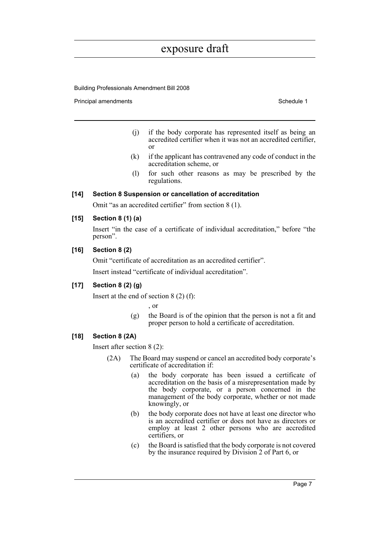Building Professionals Amendment Bill 2008

Principal amendments **Schedule 1** and the set of the set of the Schedule 1 and the Schedule 1

- (j) if the body corporate has represented itself as being an accredited certifier when it was not an accredited certifier, or
- (k) if the applicant has contravened any code of conduct in the accreditation scheme, or
- (l) for such other reasons as may be prescribed by the regulations.

#### **[14] Section 8 Suspension or cancellation of accreditation**

Omit "as an accredited certifier" from section 8 (1).

#### **[15] Section 8 (1) (a)**

Insert "in the case of a certificate of individual accreditation," before "the person".

#### **[16] Section 8 (2)**

Omit "certificate of accreditation as an accredited certifier".

Insert instead "certificate of individual accreditation".

#### **[17] Section 8 (2) (g)**

Insert at the end of section 8 (2) (f):

, or

(g) the Board is of the opinion that the person is not a fit and proper person to hold a certificate of accreditation.

#### **[18] Section 8 (2A)**

Insert after section 8 (2):

- (2A) The Board may suspend or cancel an accredited body corporate's certificate of accreditation if:
	- (a) the body corporate has been issued a certificate of accreditation on the basis of a misrepresentation made by the body corporate, or a person concerned in the management of the body corporate, whether or not made knowingly, or
	- (b) the body corporate does not have at least one director who is an accredited certifier or does not have as directors or employ at least 2 other persons who are accredited certifiers, or
	- (c) the Board is satisfied that the body corporate is not covered by the insurance required by Division 2 of Part 6, or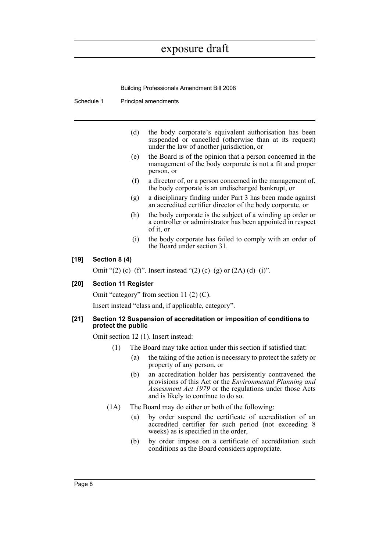Building Professionals Amendment Bill 2008

Schedule 1 Principal amendments

- (d) the body corporate's equivalent authorisation has been suspended or cancelled (otherwise than at its request) under the law of another jurisdiction, or
- (e) the Board is of the opinion that a person concerned in the management of the body corporate is not a fit and proper person, or
- (f) a director of, or a person concerned in the management of, the body corporate is an undischarged bankrupt, or
- (g) a disciplinary finding under Part 3 has been made against an accredited certifier director of the body corporate, or
- (h) the body corporate is the subject of a winding up order or a controller or administrator has been appointed in respect of it, or
- (i) the body corporate has failed to comply with an order of the Board under section 31.

#### **[19] Section 8 (4)**

Omit "(2) (c)–(f)". Insert instead "(2) (c)–(g) or  $(2A)$  (d)–(i)".

#### **[20] Section 11 Register**

Omit "category" from section 11 (2) (C).

Insert instead "class and, if applicable, category".

#### **[21] Section 12 Suspension of accreditation or imposition of conditions to protect the public**

Omit section 12 (1). Insert instead:

- (1) The Board may take action under this section if satisfied that:
	- (a) the taking of the action is necessary to protect the safety or property of any person, or
	- (b) an accreditation holder has persistently contravened the provisions of this Act or the *Environmental Planning and Assessment Act 1979* or the regulations under those Acts and is likely to continue to do so.
- (1A) The Board may do either or both of the following:
	- (a) by order suspend the certificate of accreditation of an accredited certifier for such period (not exceeding 8 weeks) as is specified in the order,
	- (b) by order impose on a certificate of accreditation such conditions as the Board considers appropriate.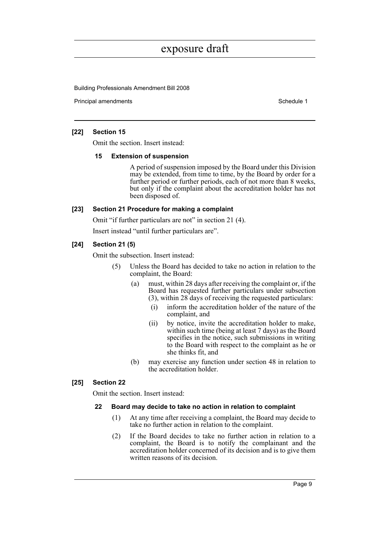Building Professionals Amendment Bill 2008

Principal amendments **Schedule 1** and the set of the set of the Schedule 1 and the Schedule 1

#### **[22] Section 15**

Omit the section. Insert instead:

#### **15 Extension of suspension**

A period of suspension imposed by the Board under this Division may be extended, from time to time, by the Board by order for a further period or further periods, each of not more than 8 weeks, but only if the complaint about the accreditation holder has not been disposed of.

#### **[23] Section 21 Procedure for making a complaint**

Omit "if further particulars are not" in section 21 (4).

Insert instead "until further particulars are".

#### **[24] Section 21 (5)**

Omit the subsection. Insert instead:

- (5) Unless the Board has decided to take no action in relation to the complaint, the Board:
	- (a) must, within 28 days after receiving the complaint or, if the Board has requested further particulars under subsection (3), within 28 days of receiving the requested particulars:
		- (i) inform the accreditation holder of the nature of the complaint, and
		- (ii) by notice, invite the accreditation holder to make, within such time (being at least 7 days) as the Board specifies in the notice, such submissions in writing to the Board with respect to the complaint as he or she thinks fit, and
	- (b) may exercise any function under section 48 in relation to the accreditation holder.

#### **[25] Section 22**

Omit the section. Insert instead:

#### **22 Board may decide to take no action in relation to complaint**

- (1) At any time after receiving a complaint, the Board may decide to take no further action in relation to the complaint.
- (2) If the Board decides to take no further action in relation to a complaint, the Board is to notify the complainant and the accreditation holder concerned of its decision and is to give them written reasons of its decision.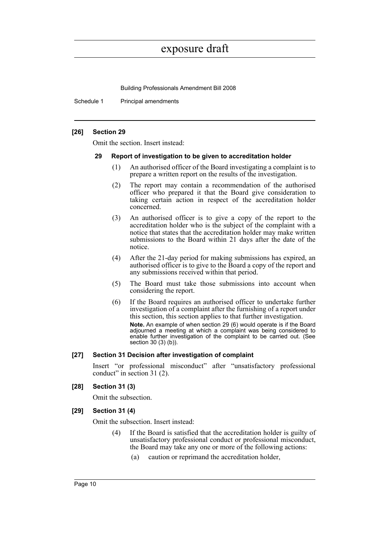Building Professionals Amendment Bill 2008

Schedule 1 Principal amendments

#### **[26] Section 29**

Omit the section. Insert instead:

#### **29 Report of investigation to be given to accreditation holder**

- (1) An authorised officer of the Board investigating a complaint is to prepare a written report on the results of the investigation.
- (2) The report may contain a recommendation of the authorised officer who prepared it that the Board give consideration to taking certain action in respect of the accreditation holder concerned.
- (3) An authorised officer is to give a copy of the report to the accreditation holder who is the subject of the complaint with a notice that states that the accreditation holder may make written submissions to the Board within 21 days after the date of the notice.
- (4) After the 21-day period for making submissions has expired, an authorised officer is to give to the Board a copy of the report and any submissions received within that period.
- (5) The Board must take those submissions into account when considering the report.
- (6) If the Board requires an authorised officer to undertake further investigation of a complaint after the furnishing of a report under this section, this section applies to that further investigation.

**Note.** An example of when section 29 (6) would operate is if the Board adjourned a meeting at which a complaint was being considered to enable further investigation of the complaint to be carried out. (See section 30 (3) (b)).

#### **[27] Section 31 Decision after investigation of complaint**

Insert "or professional misconduct" after "unsatisfactory professional conduct" in section 31 (2).

#### **[28] Section 31 (3)**

Omit the subsection.

#### **[29] Section 31 (4)**

Omit the subsection. Insert instead:

- (4) If the Board is satisfied that the accreditation holder is guilty of unsatisfactory professional conduct or professional misconduct, the Board may take any one or more of the following actions:
	- (a) caution or reprimand the accreditation holder,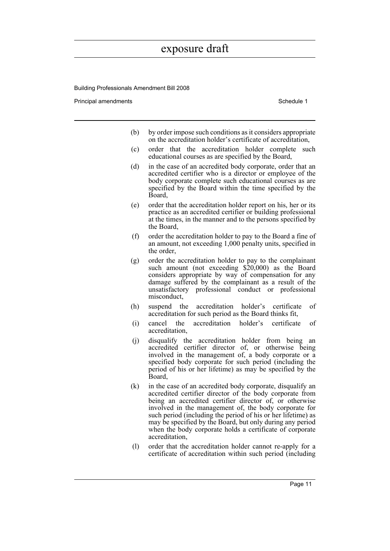Building Professionals Amendment Bill 2008

Principal amendments **Schedule 1** and the set of the set of the Schedule 1 and the Schedule 1

- (b) by order impose such conditions as it considers appropriate on the accreditation holder's certificate of accreditation,
- (c) order that the accreditation holder complete such educational courses as are specified by the Board,
- (d) in the case of an accredited body corporate, order that an accredited certifier who is a director or employee of the body corporate complete such educational courses as are specified by the Board within the time specified by the Board,
- (e) order that the accreditation holder report on his, her or its practice as an accredited certifier or building professional at the times, in the manner and to the persons specified by the Board,
- (f) order the accreditation holder to pay to the Board a fine of an amount, not exceeding 1,000 penalty units, specified in the order,
- (g) order the accreditation holder to pay to the complainant such amount (not exceeding \$20,000) as the Board considers appropriate by way of compensation for any damage suffered by the complainant as a result of the unsatisfactory professional conduct or professional misconduct,
- (h) suspend the accreditation holder's certificate of accreditation for such period as the Board thinks fit,
- (i) cancel the accreditation holder's certificate of accreditation,
- (j) disqualify the accreditation holder from being an accredited certifier director of, or otherwise being involved in the management of, a body corporate or a specified body corporate for such period (including the period of his or her lifetime) as may be specified by the Board,
- (k) in the case of an accredited body corporate, disqualify an accredited certifier director of the body corporate from being an accredited certifier director of, or otherwise involved in the management of, the body corporate for such period (including the period of his or her lifetime) as may be specified by the Board, but only during any period when the body corporate holds a certificate of corporate accreditation,
- (l) order that the accreditation holder cannot re-apply for a certificate of accreditation within such period (including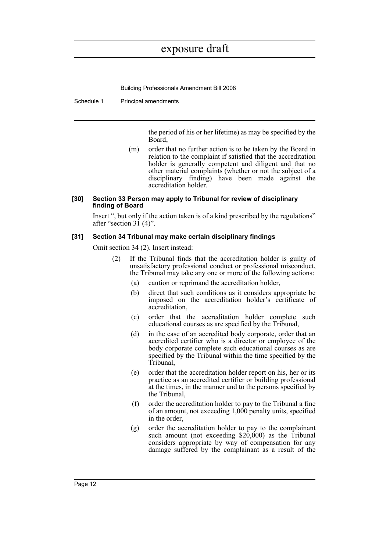Building Professionals Amendment Bill 2008

Schedule 1 Principal amendments

the period of his or her lifetime) as may be specified by the Board,

(m) order that no further action is to be taken by the Board in relation to the complaint if satisfied that the accreditation holder is generally competent and diligent and that no other material complaints (whether or not the subject of a disciplinary finding) have been made against the accreditation holder.

#### **[30] Section 33 Person may apply to Tribunal for review of disciplinary finding of Board**

Insert ", but only if the action taken is of a kind prescribed by the regulations" after "section 31 (4)".

#### **[31] Section 34 Tribunal may make certain disciplinary findings**

Omit section 34 (2). Insert instead:

- (2) If the Tribunal finds that the accreditation holder is guilty of unsatisfactory professional conduct or professional misconduct, the Tribunal may take any one or more of the following actions:
	- (a) caution or reprimand the accreditation holder,
	- (b) direct that such conditions as it considers appropriate be imposed on the accreditation holder's certificate of accreditation,
	- (c) order that the accreditation holder complete such educational courses as are specified by the Tribunal,
	- (d) in the case of an accredited body corporate, order that an accredited certifier who is a director or employee of the body corporate complete such educational courses as are specified by the Tribunal within the time specified by the Tribunal,
	- (e) order that the accreditation holder report on his, her or its practice as an accredited certifier or building professional at the times, in the manner and to the persons specified by the Tribunal,
	- (f) order the accreditation holder to pay to the Tribunal a fine of an amount, not exceeding 1,000 penalty units, specified in the order,
	- (g) order the accreditation holder to pay to the complainant such amount (not exceeding  $$20,000$ ) as the Tribunal considers appropriate by way of compensation for any damage suffered by the complainant as a result of the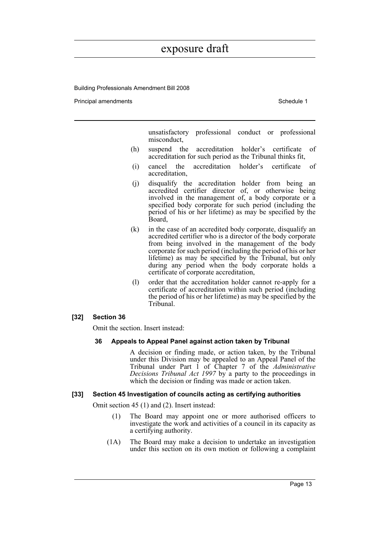Building Professionals Amendment Bill 2008

Principal amendments **Schedule 1** and the set of the set of the Schedule 1 and the Schedule 1

unsatisfactory professional conduct or professional misconduct,

- (h) suspend the accreditation holder's certificate of accreditation for such period as the Tribunal thinks fit,
- (i) cancel the accreditation holder's certificate of accreditation,
- (j) disqualify the accreditation holder from being an accredited certifier director of, or otherwise being involved in the management of, a body corporate or a specified body corporate for such period (including the period of his or her lifetime) as may be specified by the Board,
- (k) in the case of an accredited body corporate, disqualify an accredited certifier who is a director of the body corporate from being involved in the management of the body corporate for such period (including the period of his or her lifetime) as may be specified by the Tribunal, but only during any period when the body corporate holds a certificate of corporate accreditation,
- (l) order that the accreditation holder cannot re-apply for a certificate of accreditation within such period (including the period of his or her lifetime) as may be specified by the Tribunal.

#### **[32] Section 36**

Omit the section. Insert instead:

#### **36 Appeals to Appeal Panel against action taken by Tribunal**

A decision or finding made, or action taken, by the Tribunal under this Division may be appealed to an Appeal Panel of the Tribunal under Part 1 of Chapter 7 of the *Administrative Decisions Tribunal Act 1997* by a party to the proceedings in which the decision or finding was made or action taken.

#### **[33] Section 45 Investigation of councils acting as certifying authorities**

Omit section 45 (1) and (2). Insert instead:

- (1) The Board may appoint one or more authorised officers to investigate the work and activities of a council in its capacity as a certifying authority.
- (1A) The Board may make a decision to undertake an investigation under this section on its own motion or following a complaint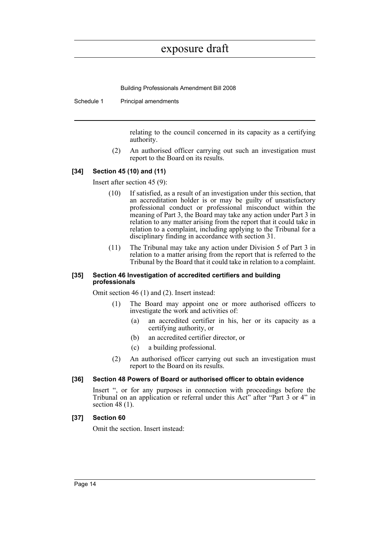Building Professionals Amendment Bill 2008

Schedule 1 Principal amendments

relating to the council concerned in its capacity as a certifying authority.

(2) An authorised officer carrying out such an investigation must report to the Board on its results.

#### **[34] Section 45 (10) and (11)**

Insert after section 45 (9):

- (10) If satisfied, as a result of an investigation under this section, that an accreditation holder is or may be guilty of unsatisfactory professional conduct or professional misconduct within the meaning of Part 3, the Board may take any action under Part 3 in relation to any matter arising from the report that it could take in relation to a complaint, including applying to the Tribunal for a disciplinary finding in accordance with section 31.
- (11) The Tribunal may take any action under Division 5 of Part 3 in relation to a matter arising from the report that is referred to the Tribunal by the Board that it could take in relation to a complaint.

#### **[35] Section 46 Investigation of accredited certifiers and building professionals**

Omit section 46 (1) and (2). Insert instead:

- (1) The Board may appoint one or more authorised officers to investigate the work and activities of:
	- (a) an accredited certifier in his, her or its capacity as a certifying authority, or
	- (b) an accredited certifier director, or
	- (c) a building professional.
- (2) An authorised officer carrying out such an investigation must report to the Board on its results.

#### **[36] Section 48 Powers of Board or authorised officer to obtain evidence**

Insert ", or for any purposes in connection with proceedings before the Tribunal on an application or referral under this Act" after "Part 3 or 4" in section 48 (1).

#### **[37] Section 60**

Omit the section. Insert instead: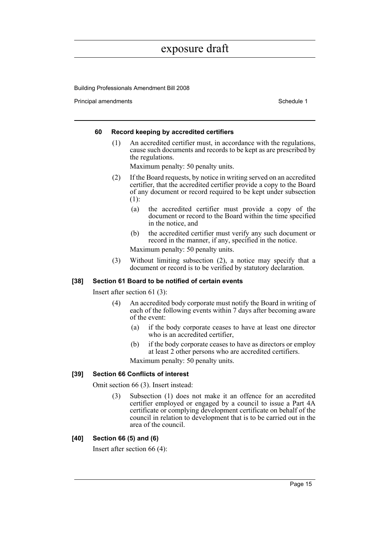Building Professionals Amendment Bill 2008

Principal amendments **Schedule 1** and the set of the set of the Schedule 1 and the Schedule 1

#### **60 Record keeping by accredited certifiers**

(1) An accredited certifier must, in accordance with the regulations, cause such documents and records to be kept as are prescribed by the regulations.

Maximum penalty: 50 penalty units.

- (2) If the Board requests, by notice in writing served on an accredited certifier, that the accredited certifier provide a copy to the Board of any document or record required to be kept under subsection (1):
	- (a) the accredited certifier must provide a copy of the document or record to the Board within the time specified in the notice, and
	- (b) the accredited certifier must verify any such document or record in the manner, if any, specified in the notice.

Maximum penalty: 50 penalty units.

(3) Without limiting subsection (2), a notice may specify that a document or record is to be verified by statutory declaration.

#### **[38] Section 61 Board to be notified of certain events**

Insert after section 61 (3):

- (4) An accredited body corporate must notify the Board in writing of each of the following events within 7 days after becoming aware of the event:
	- (a) if the body corporate ceases to have at least one director who is an accredited certifier,
	- (b) if the body corporate ceases to have as directors or employ at least 2 other persons who are accredited certifiers.

Maximum penalty: 50 penalty units.

#### **[39] Section 66 Conflicts of interest**

Omit section 66 (3). Insert instead:

(3) Subsection (1) does not make it an offence for an accredited certifier employed or engaged by a council to issue a Part 4A certificate or complying development certificate on behalf of the council in relation to development that is to be carried out in the area of the council.

#### **[40] Section 66 (5) and (6)**

Insert after section 66 (4):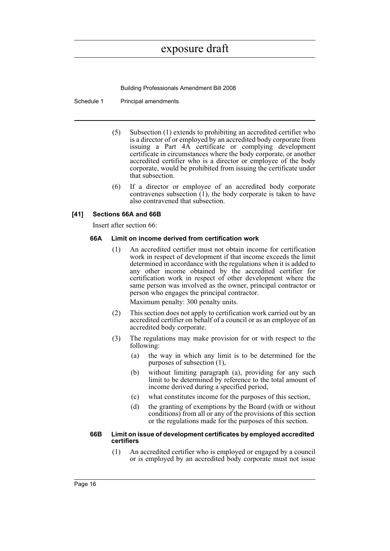Building Professionals Amendment Bill 2008

- Schedule 1 Principal amendments
	- (5) Subsection (1) extends to prohibiting an accredited certifier who is a director of or employed by an accredited body corporate from issuing a Part 4A certificate or complying development certificate in circumstances where the body corporate, or another accredited certifier who is a director or employee of the body corporate, would be prohibited from issuing the certificate under that subsection.
	- (6) If a director or employee of an accredited body corporate contravenes subsection (1), the body corporate is taken to have also contravened that subsection.

#### **[41] Sections 66A and 66B**

Insert after section 66:

#### **66A Limit on income derived from certification work**

(1) An accredited certifier must not obtain income for certification work in respect of development if that income exceeds the limit determined in accordance with the regulations when it is added to any other income obtained by the accredited certifier for certification work in respect of other development where the same person was involved as the owner, principal contractor or person who engages the principal contractor.

Maximum penalty: 300 penalty units.

- (2) This section does not apply to certification work carried out by an accredited certifier on behalf of a council or as an employee of an accredited body corporate.
- (3) The regulations may make provision for or with respect to the following:
	- (a) the way in which any limit is to be determined for the purposes of subsection (1),
	- (b) without limiting paragraph (a), providing for any such limit to be determined by reference to the total amount of income derived during a specified period,
	- (c) what constitutes income for the purposes of this section,
	- (d) the granting of exemptions by the Board (with or without conditions) from all or any of the provisions of this section or the regulations made for the purposes of this section.

#### **66B Limit on issue of development certificates by employed accredited certifiers**

(1) An accredited certifier who is employed or engaged by a council or is employed by an accredited body corporate must not issue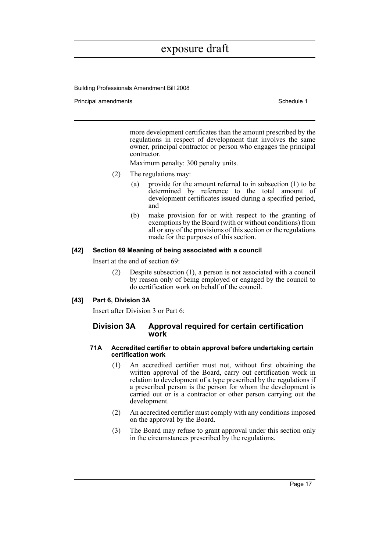Building Professionals Amendment Bill 2008

Principal amendments **Schedule 1** and the set of the set of the Schedule 1 and the Schedule 1

more development certificates than the amount prescribed by the regulations in respect of development that involves the same owner, principal contractor or person who engages the principal contractor.

Maximum penalty: 300 penalty units.

- (2) The regulations may:
	- (a) provide for the amount referred to in subsection (1) to be determined by reference to the total amount of development certificates issued during a specified period, and
	- (b) make provision for or with respect to the granting of exemptions by the Board (with or without conditions) from all or any of the provisions of this section or the regulations made for the purposes of this section.

#### **[42] Section 69 Meaning of being associated with a council**

Insert at the end of section 69:

(2) Despite subsection (1), a person is not associated with a council by reason only of being employed or engaged by the council to do certification work on behalf of the council.

#### **[43] Part 6, Division 3A**

Insert after Division 3 or Part 6:

#### **Division 3A Approval required for certain certification work**

#### **71A Accredited certifier to obtain approval before undertaking certain certification work**

- (1) An accredited certifier must not, without first obtaining the written approval of the Board, carry out certification work in relation to development of a type prescribed by the regulations if a prescribed person is the person for whom the development is carried out or is a contractor or other person carrying out the development.
- (2) An accredited certifier must comply with any conditions imposed on the approval by the Board.
- (3) The Board may refuse to grant approval under this section only in the circumstances prescribed by the regulations.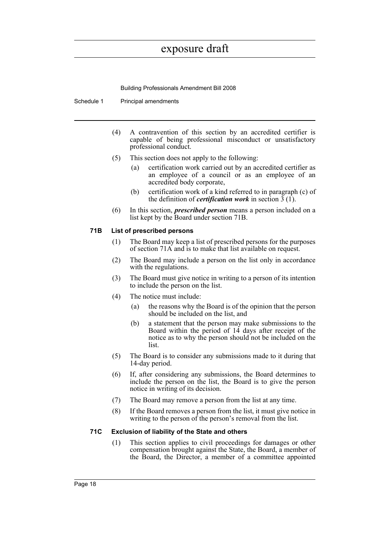Building Professionals Amendment Bill 2008

Schedule 1 Principal amendments

- (4) A contravention of this section by an accredited certifier is capable of being professional misconduct or unsatisfactory professional conduct.
- (5) This section does not apply to the following:
	- (a) certification work carried out by an accredited certifier as an employee of a council or as an employee of an accredited body corporate,
	- (b) certification work of a kind referred to in paragraph (c) of the definition of *certification work* in section  $\overline{3}$  (1).
- (6) In this section, *prescribed person* means a person included on a list kept by the Board under section 71B.

#### **71B List of prescribed persons**

- (1) The Board may keep a list of prescribed persons for the purposes of section 71A and is to make that list available on request.
- (2) The Board may include a person on the list only in accordance with the regulations.
- (3) The Board must give notice in writing to a person of its intention to include the person on the list.
- (4) The notice must include:
	- (a) the reasons why the Board is of the opinion that the person should be included on the list, and
	- (b) a statement that the person may make submissions to the Board within the period of 14 days after receipt of the notice as to why the person should not be included on the list.
- (5) The Board is to consider any submissions made to it during that 14-day period.
- (6) If, after considering any submissions, the Board determines to include the person on the list, the Board is to give the person notice in writing of its decision.
- (7) The Board may remove a person from the list at any time.
- (8) If the Board removes a person from the list, it must give notice in writing to the person of the person's removal from the list.

#### **71C Exclusion of liability of the State and others**

(1) This section applies to civil proceedings for damages or other compensation brought against the State, the Board, a member of the Board, the Director, a member of a committee appointed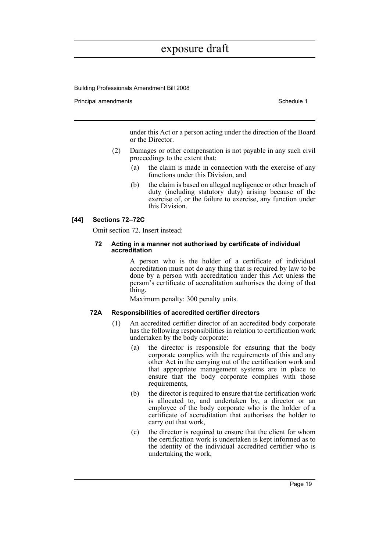Building Professionals Amendment Bill 2008

Principal amendments **Schedule 1** and the set of the set of the Schedule 1 and the Schedule 1

under this Act or a person acting under the direction of the Board or the Director.

- (2) Damages or other compensation is not payable in any such civil proceedings to the extent that:
	- (a) the claim is made in connection with the exercise of any functions under this Division, and
	- (b) the claim is based on alleged negligence or other breach of duty (including statutory duty) arising because of the exercise of, or the failure to exercise, any function under this Division.

#### **[44] Sections 72–72C**

Omit section 72. Insert instead:

#### **72 Acting in a manner not authorised by certificate of individual accreditation**

A person who is the holder of a certificate of individual accreditation must not do any thing that is required by law to be done by a person with accreditation under this Act unless the person's certificate of accreditation authorises the doing of that thing.

Maximum penalty: 300 penalty units.

#### **72A Responsibilities of accredited certifier directors**

- (1) An accredited certifier director of an accredited body corporate has the following responsibilities in relation to certification work undertaken by the body corporate:
	- (a) the director is responsible for ensuring that the body corporate complies with the requirements of this and any other Act in the carrying out of the certification work and that appropriate management systems are in place to ensure that the body corporate complies with those requirements,
	- (b) the director is required to ensure that the certification work is allocated to, and undertaken by, a director or an employee of the body corporate who is the holder of a certificate of accreditation that authorises the holder to carry out that work,
	- (c) the director is required to ensure that the client for whom the certification work is undertaken is kept informed as to the identity of the individual accredited certifier who is undertaking the work,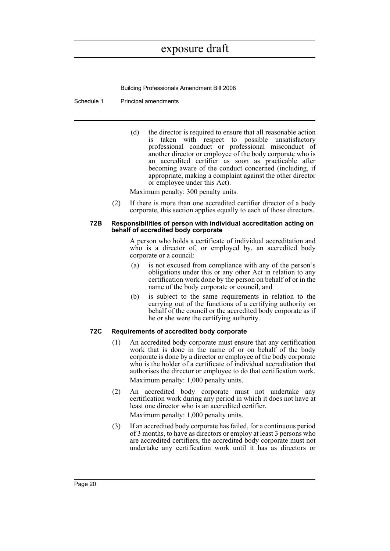Building Professionals Amendment Bill 2008

Schedule 1 Principal amendments

(d) the director is required to ensure that all reasonable action is taken with respect to possible unsatisfactory professional conduct or professional misconduct of another director or employee of the body corporate who is an accredited certifier as soon as practicable after becoming aware of the conduct concerned (including, if appropriate, making a complaint against the other director or employee under this Act).

Maximum penalty: 300 penalty units.

(2) If there is more than one accredited certifier director of a body corporate, this section applies equally to each of those directors.

#### **72B Responsibilities of person with individual accreditation acting on behalf of accredited body corporate**

A person who holds a certificate of individual accreditation and who is a director of, or employed by, an accredited body corporate or a council:

- (a) is not excused from compliance with any of the person's obligations under this or any other Act in relation to any certification work done by the person on behalf of or in the name of the body corporate or council, and
- (b) is subject to the same requirements in relation to the carrying out of the functions of a certifying authority on behalf of the council or the accredited body corporate as if he or she were the certifying authority.

#### **72C Requirements of accredited body corporate**

- (1) An accredited body corporate must ensure that any certification work that is done in the name of or on behalf of the body corporate is done by a director or employee of the body corporate who is the holder of a certificate of individual accreditation that authorises the director or employee to do that certification work. Maximum penalty: 1,000 penalty units.
- (2) An accredited body corporate must not undertake any certification work during any period in which it does not have at least one director who is an accredited certifier.

Maximum penalty: 1,000 penalty units.

(3) If an accredited body corporate has failed, for a continuous period of 3 months, to have as directors or employ at least 3 persons who are accredited certifiers, the accredited body corporate must not undertake any certification work until it has as directors or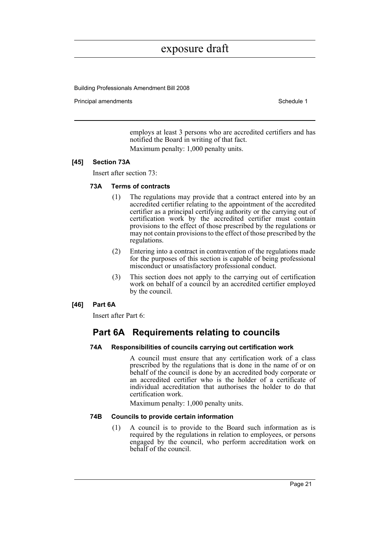Building Professionals Amendment Bill 2008

Principal amendments **Schedule 1** and the set of the set of the Schedule 1 and the Schedule 1

employs at least 3 persons who are accredited certifiers and has notified the Board in writing of that fact. Maximum penalty: 1,000 penalty units.

#### **[45] Section 73A**

Insert after section 73:

#### **73A Terms of contracts**

- (1) The regulations may provide that a contract entered into by an accredited certifier relating to the appointment of the accredited certifier as a principal certifying authority or the carrying out of certification work by the accredited certifier must contain provisions to the effect of those prescribed by the regulations or may not contain provisions to the effect of those prescribed by the regulations.
- (2) Entering into a contract in contravention of the regulations made for the purposes of this section is capable of being professional misconduct or unsatisfactory professional conduct.
- (3) This section does not apply to the carrying out of certification work on behalf of a council by an accredited certifier employed by the council.

#### **[46] Part 6A**

Insert after Part 6:

### **Part 6A Requirements relating to councils**

#### **74A Responsibilities of councils carrying out certification work**

A council must ensure that any certification work of a class prescribed by the regulations that is done in the name of or on behalf of the council is done by an accredited body corporate or an accredited certifier who is the holder of a certificate of individual accreditation that authorises the holder to do that certification work.

Maximum penalty: 1,000 penalty units.

#### **74B Councils to provide certain information**

(1) A council is to provide to the Board such information as is required by the regulations in relation to employees, or persons engaged by the council, who perform accreditation work on behalf of the council.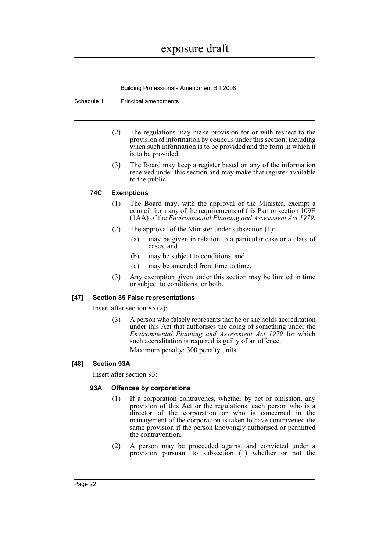Building Professionals Amendment Bill 2008

- Schedule 1 Principal amendments
	- (2) The regulations may make provision for or with respect to the provision of information by councils under this section, including when such information is to be provided and the form in which it is to be provided.
	- (3) The Board may keep a register based on any of the information received under this section and may make that register available to the public.

### **74C Exemptions**

- (1) The Board may, with the approval of the Minister, exempt a council from any of the requirements of this Part or section 109E (1AA) of the *Environmental Planning and Assessment Act 1979*.
- (2) The approval of the Minister under subsection (1):
	- (a) may be given in relation to a particular case or a class of cases, and
	- (b) may be subject to conditions, and
	- (c) may be amended from time to time.
- (3) Any exemption given under this section may be limited in time or subject to conditions, or both.

#### **[47] Section 85 False representations**

Insert after section 85 (2):

(3) A person who falsely represents that he or she holds accreditation under this Act that authorises the doing of something under the *Environmental Planning and Assessment Act 1979* for which such accreditation is required is guilty of an offence. Maximum penalty: 300 penalty units.

#### **[48] Section 93A**

Insert after section 93:

### **93A Offences by corporations**

- (1) If a corporation contravenes, whether by act or omission, any provision of this Act or the regulations, each person who is a director of the corporation or who is concerned in the management of the corporation is taken to have contravened the same provision if the person knowingly authorised or permitted the contravention.
- (2) A person may be proceeded against and convicted under a provision pursuant to subsection (1) whether or not the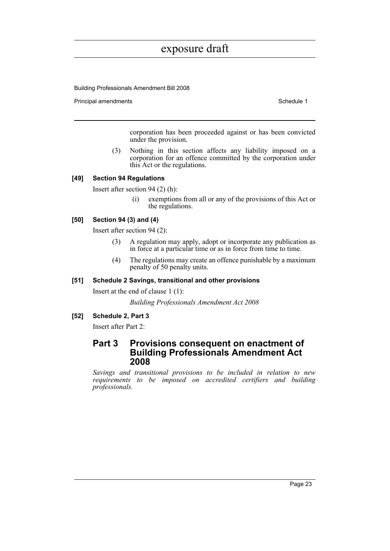Building Professionals Amendment Bill 2008

Principal amendments **Schedule 1** Schedule 1

corporation has been proceeded against or has been convicted under the provision.

(3) Nothing in this section affects any liability imposed on a corporation for an offence committed by the corporation under this Act or the regulations.

#### **[49] Section 94 Regulations**

Insert after section 94 (2) (h):

(i) exemptions from all or any of the provisions of this Act or the regulations.

#### **[50] Section 94 (3) and (4)**

Insert after section 94 (2):

- (3) A regulation may apply, adopt or incorporate any publication as in force at a particular time or as in force from time to time.
- (4) The regulations may create an offence punishable by a maximum penalty of 50 penalty units.

#### **[51] Schedule 2 Savings, transitional and other provisions**

Insert at the end of clause 1 (1):

*Building Professionals Amendment Act 2008*

#### **[52] Schedule 2, Part 3**

Insert after Part 2:

### **Part 3 Provisions consequent on enactment of Building Professionals Amendment Act 2008**

*Savings and transitional provisions to be included in relation to new requirements to be imposed on accredited certifiers and building professionals.*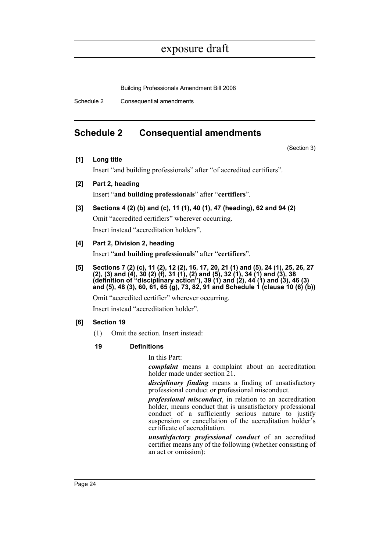Building Professionals Amendment Bill 2008

Schedule 2 Consequential amendments

### <span id="page-27-0"></span>**Schedule 2 Consequential amendments**

(Section 3)

**[1] Long title**

Insert "and building professionals" after "of accredited certifiers".

**[2] Part 2, heading**

Insert "**and building professionals**" after "**certifiers**".

**[3] Sections 4 (2) (b) and (c), 11 (1), 40 (1), 47 (heading), 62 and 94 (2)**

Omit "accredited certifiers" wherever occurring. Insert instead "accreditation holders".

#### **[4] Part 2, Division 2, heading**

Insert "**and building professionals**" after "**certifiers**".

**[5] Sections 7 (2) (c), 11 (2), 12 (2), 16, 17, 20, 21 (1) and (5), 24 (1), 25, 26, 27 (2), (3) and (4), 30 (2) (f), 31 (1), (2) and (5), 32 (1), 34 (1) and (3), 38 (definition of "disciplinary action"), 39 (1) and (2), 44 (1) and (3), 46 (3) and (5), 48 (3), 60, 61, 65 (g), 73, 82, 91 and Schedule 1 (clause 10 (6) (b))**

Omit "accredited certifier" wherever occurring.

Insert instead "accreditation holder".

- **[6] Section 19**
	- (1) Omit the section. Insert instead:
	- **19 Definitions**

In this Part:

*complaint* means a complaint about an accreditation holder made under section 21.

*disciplinary finding* means a finding of unsatisfactory professional conduct or professional misconduct.

*professional misconduct*, in relation to an accreditation holder, means conduct that is unsatisfactory professional conduct of a sufficiently serious nature to justify suspension or cancellation of the accreditation holder's certificate of accreditation.

*unsatisfactory professional conduct* of an accredited certifier means any of the following (whether consisting of an act or omission):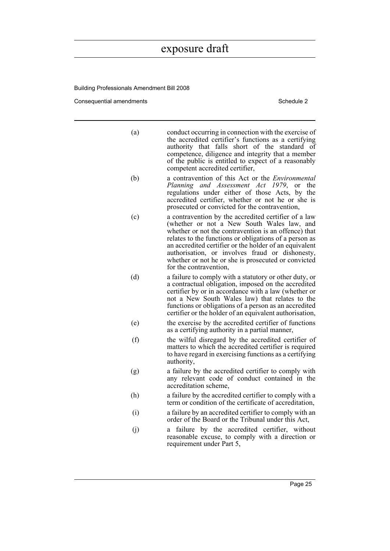Building Professionals Amendment Bill 2008

Consequential amendments **Schedule 2** and 3 and 3 and 3 and 3 and 3 and 3 and 3 and 3 and 3 and 3 and 3 and 3 and 3 and 3 and 3 and 3 and 3 and 3 and 3 and 3 and 3 and 3 and 3 and 3 and 3 and 3 and 3 and 3 and 3 and 3 and

- (a) conduct occurring in connection with the exercise of the accredited certifier's functions as a certifying authority that falls short of the standard of competence, diligence and integrity that a member of the public is entitled to expect of a reasonably competent accredited certifier,
- (b) a contravention of this Act or the *Environmental Planning and Assessment Act 1979*, or the regulations under either of those Acts, by the accredited certifier, whether or not he or she is prosecuted or convicted for the contravention,
- (c) a contravention by the accredited certifier of a law (whether or not a New South Wales law, and whether or not the contravention is an offence) that relates to the functions or obligations of a person as an accredited certifier or the holder of an equivalent authorisation, or involves fraud or dishonesty, whether or not he or she is prosecuted or convicted for the contravention,
- (d) a failure to comply with a statutory or other duty, or a contractual obligation, imposed on the accredited certifier by or in accordance with a law (whether or not a New South Wales law) that relates to the functions or obligations of a person as an accredited certifier or the holder of an equivalent authorisation,
- (e) the exercise by the accredited certifier of functions as a certifying authority in a partial manner,
- (f) the wilful disregard by the accredited certifier of matters to which the accredited certifier is required to have regard in exercising functions as a certifying authority,
- (g) a failure by the accredited certifier to comply with any relevant code of conduct contained in the accreditation scheme,
- (h) a failure by the accredited certifier to comply with a term or condition of the certificate of accreditation,
- (i) a failure by an accredited certifier to comply with an order of the Board or the Tribunal under this Act,
- (j) a failure by the accredited certifier, without reasonable excuse, to comply with a direction or requirement under Part 5,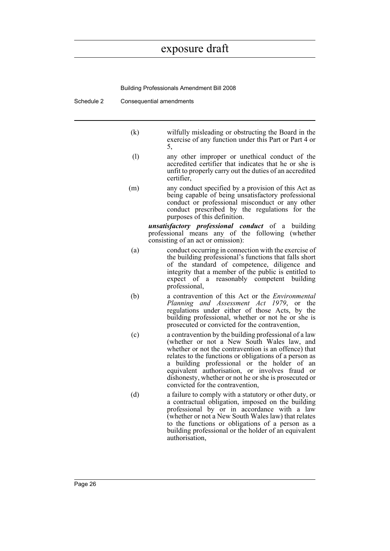Building Professionals Amendment Bill 2008

Schedule 2 Consequential amendments

- (k) wilfully misleading or obstructing the Board in the exercise of any function under this Part or Part 4 or 5,
- (l) any other improper or unethical conduct of the accredited certifier that indicates that he or she is unfit to properly carry out the duties of an accredited certifier,
- (m) any conduct specified by a provision of this Act as being capable of being unsatisfactory professional conduct or professional misconduct or any other conduct prescribed by the regulations for the purposes of this definition.

*unsatisfactory professional conduct* of a building professional means any of the following (whether consisting of an act or omission):

- (a) conduct occurring in connection with the exercise of the building professional's functions that falls short of the standard of competence, diligence and integrity that a member of the public is entitled to expect of a reasonably competent building professional,
- (b) a contravention of this Act or the *Environmental Planning and Assessment Act 1979*, or the regulations under either of those Acts, by the building professional, whether or not he or she is prosecuted or convicted for the contravention,
- (c) a contravention by the building professional of a law (whether or not a New South Wales law, and whether or not the contravention is an offence) that relates to the functions or obligations of a person as a building professional or the holder of an equivalent authorisation, or involves fraud or dishonesty, whether or not he or she is prosecuted or convicted for the contravention,
- (d) a failure to comply with a statutory or other duty, or a contractual obligation, imposed on the building professional by or in accordance with a law (whether or not a New South Wales law) that relates to the functions or obligations of a person as a building professional or the holder of an equivalent authorisation,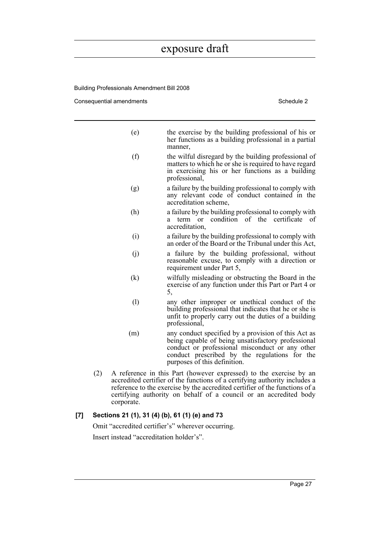Building Professionals Amendment Bill 2008

Consequential amendments **Schedule 2** Schedule 2

| (e)      | the exercise by the building professional of his or<br>her functions as a building professional in a partial<br>manner,                                                            |
|----------|------------------------------------------------------------------------------------------------------------------------------------------------------------------------------------|
| (f)      | the wilful disregard by the building professional of<br>matters to which he or she is required to have regard<br>in exercising his or her functions as a building<br>professional, |
| (g)      | a failure by the building professional to comply with<br>any relevant code of conduct contained in the<br>accreditation scheme,                                                    |
| (h)      | a failure by the building professional to comply with<br>term or condition of the certificate of<br>a<br>accreditation,                                                            |
| (i)      | a failure by the building professional to comply with<br>an order of the Board or the Tribunal under this Act,                                                                     |
| (j)      | a failure by the building professional, without<br>reasonable excuse, to comply with a direction or<br>requirement under Part 5,                                                   |
| $\rm(k)$ | wilfully misleading or obstructing the Board in the<br>exercise of any function under this Part or Part $\Lambda$ or                                                               |

- exercise of any function under this Part or Part 4 or 5,
- (l) any other improper or unethical conduct of the building professional that indicates that he or she is unfit to properly carry out the duties of a building professional,
- (m) any conduct specified by a provision of this Act as being capable of being unsatisfactory professional conduct or professional misconduct or any other conduct prescribed by the regulations for the purposes of this definition.
- (2) A reference in this Part (however expressed) to the exercise by an accredited certifier of the functions of a certifying authority includes a reference to the exercise by the accredited certifier of the functions of a certifying authority on behalf of a council or an accredited body corporate.

#### **[7] Sections 21 (1), 31 (4) (b), 61 (1) (e) and 73**

Omit "accredited certifier's" wherever occurring.

Insert instead "accreditation holder's".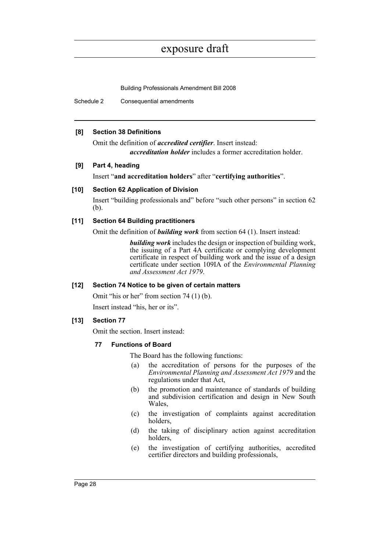Building Professionals Amendment Bill 2008

Schedule 2 Consequential amendments

#### **[8] Section 38 Definitions**

Omit the definition of *accredited certifier*. Insert instead: *accreditation holder* includes a former accreditation holder.

#### **[9] Part 4, heading**

Insert "**and accreditation holders**" after "**certifying authorities**".

#### **[10] Section 62 Application of Division**

Insert "building professionals and" before "such other persons" in section 62 (b).

#### **[11] Section 64 Building practitioners**

Omit the definition of *building work* from section 64 (1). Insert instead:

*building work* includes the design or inspection of building work, the issuing of a Part 4A certificate or complying development certificate in respect of building work and the issue of a design certificate under section 109IA of the *Environmental Planning and Assessment Act 1979*.

### **[12] Section 74 Notice to be given of certain matters**

Omit "his or her" from section 74 (1) (b).

Insert instead "his, her or its".

### **[13] Section 77**

Omit the section. Insert instead:

#### **77 Functions of Board**

The Board has the following functions:

- (a) the accreditation of persons for the purposes of the *Environmental Planning and Assessment Act 1979* and the regulations under that Act,
- (b) the promotion and maintenance of standards of building and subdivision certification and design in New South Wales,
- (c) the investigation of complaints against accreditation holders,
- (d) the taking of disciplinary action against accreditation holders,
- (e) the investigation of certifying authorities, accredited certifier directors and building professionals,